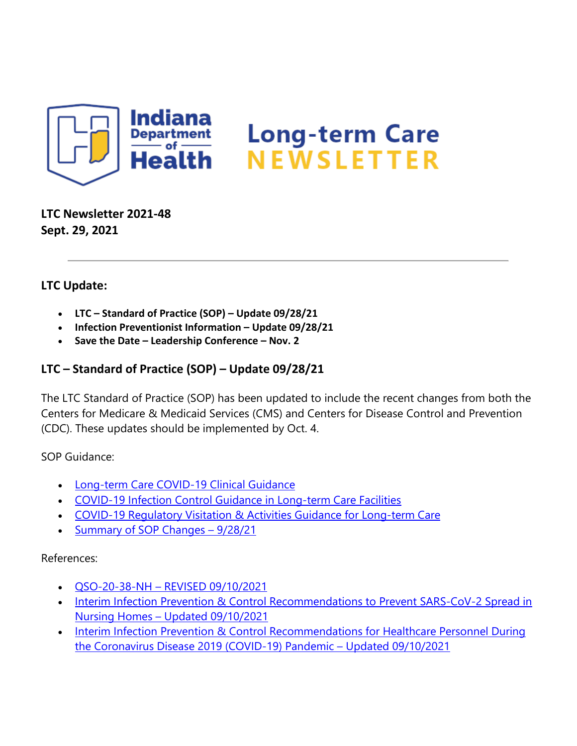

**LTC Newsletter 2021-48 Sept. 29, 2021**

### **LTC Update:**

- **LTC – Standard of Practice (SOP) – Update 09/28/21**
- **Infection Preventionist Information – Update 09/28/21**
- **Save the Date – Leadership Conference – Nov. 2**

## **LTC – Standard of Practice (SOP) – Update 09/28/21**

The LTC Standard of Practice (SOP) has been updated to include the recent changes from both the Centers for Medicare & Medicaid Services (CMS) and Centers for Disease Control and Prevention (CDC). These updates should be implemented by Oct. 4.

SOP Guidance:

- [Long-term Care COVID-19 Clinical Guidance](https://www.coronavirus.in.gov/files/COVID-19%20LTC%20Clinical%20Guidance%209-27-21.pdf)
- [COVID-19 Infection Control Guidance in Long-term Care Facilities](https://www.coronavirus.in.gov/files/COVID%2019%20Infection%20Control%20for%20LTC%20facilities%209-27-21.pdf)
- [COVID-19 Regulatory Visitation & Activities Guidance for Long-term Care](https://www.coronavirus.in.gov/files/COVID-19%20Regulatory%20Visitation%20and%20Activities%20Guidance%20for%20LTC%209-27-21.pdf)
- Summary of SOP Changes 9/28/21

#### References:

- QSO-20-38-NH [REVISED 09/10/2021](https://www.cms.gov/files/document/qso-20-38-nh-revised.pdf)
- Interim Infection Prevention & Control Recommendations to Prevent SARS-CoV-2 Spread in Nursing Homes – [Updated 09/10/2021](https://www.cdc.gov/coronavirus/2019-ncov/hcp/long-term-care.html)
- Interim Infection Prevention & Control Recommendations for Healthcare Personnel During [the Coronavirus Disease 2019 \(COVID-19\) Pandemic –](https://www.cdc.gov/coronavirus/2019-ncov/hcp/infection-control-recommendations.html) Updated 09/10/2021